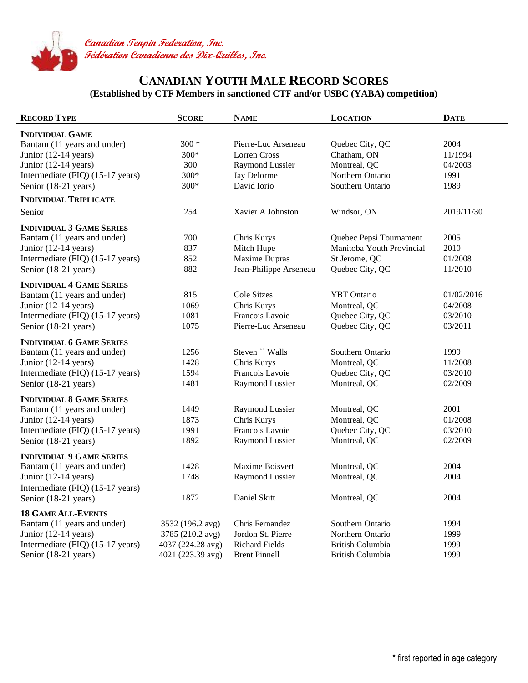

## **CANADIAN YOUTH MALE RECORD SCORES (Established by CTF Members in sanctioned CTF and/or USBC (YABA) competition)**

| <b>RECORD TYPE</b>               | <b>SCORE</b>      | <b>NAME</b>            | <b>LOCATION</b>           | <b>DATE</b> |
|----------------------------------|-------------------|------------------------|---------------------------|-------------|
| <b>INDIVIDUAL GAME</b>           |                   |                        |                           |             |
| Bantam (11 years and under)      | $300 *$           | Pierre-Luc Arseneau    | Quebec City, QC           | 2004        |
| Junior (12-14 years)             | 300*              | <b>Lorren Cross</b>    | Chatham, ON               | 11/1994     |
| Junior $(12-14 \text{ years})$   | 300               | <b>Raymond Lussier</b> | Montreal, QC              | 04/2003     |
| Intermediate (FIQ) (15-17 years) | 300*              | Jay Delorme            | Northern Ontario          | 1991        |
| Senior (18-21 years)             | 300*              | David Iorio            | Southern Ontario          | 1989        |
| <b>INDIVIDUAL TRIPLICATE</b>     |                   |                        |                           |             |
| Senior                           | 254               | Xavier A Johnston      | Windsor, ON               | 2019/11/30  |
| <b>INDIVIDUAL 3 GAME SERIES</b>  |                   |                        |                           |             |
| Bantam (11 years and under)      | 700               | Chris Kurys            | Quebec Pepsi Tournament   | 2005        |
| Junior (12-14 years)             | 837               | Mitch Hupe             | Manitoba Youth Provincial | 2010        |
| Intermediate (FIQ) (15-17 years) | 852               | Maxime Dupras          | St Jerome, QC             | 01/2008     |
| Senior (18-21 years)             | 882               | Jean-Philippe Arseneau | Quebec City, QC           | 11/2010     |
| <b>INDIVIDUAL 4 GAME SERIES</b>  |                   |                        |                           |             |
| Bantam (11 years and under)      | 815               | <b>Cole Sitzes</b>     | <b>YBT</b> Ontario        | 01/02/2016  |
| Junior $(12-14 \text{ years})$   | 1069              | Chris Kurys            | Montreal, QC              | 04/2008     |
| Intermediate (FIQ) (15-17 years) | 1081              | Francois Lavoie        | Quebec City, QC           | 03/2010     |
| Senior (18-21 years)             | 1075              | Pierre-Luc Arseneau    | Quebec City, QC           | 03/2011     |
| <b>INDIVIDUAL 6 GAME SERIES</b>  |                   |                        |                           |             |
| Bantam (11 years and under)      | 1256              | Steven " Walls         | Southern Ontario          | 1999        |
| Junior (12-14 years)             | 1428              | Chris Kurys            | Montreal, QC              | 11/2008     |
| Intermediate (FIQ) (15-17 years) | 1594              | Francois Lavoie        | Quebec City, QC           | 03/2010     |
| Senior (18-21 years)             | 1481              | <b>Raymond Lussier</b> | Montreal, QC              | 02/2009     |
| <b>INDIVIDUAL 8 GAME SERIES</b>  |                   |                        |                           |             |
| Bantam (11 years and under)      | 1449              | <b>Raymond Lussier</b> | Montreal, QC              | 2001        |
| Junior $(12-14 \text{ years})$   | 1873              | Chris Kurys            | Montreal, QC              | 01/2008     |
| Intermediate (FIQ) (15-17 years) | 1991              | Francois Lavoie        | Quebec City, QC           | 03/2010     |
| Senior (18-21 years)             | 1892              | Raymond Lussier        | Montreal, QC              | 02/2009     |
| <b>INDIVIDUAL 9 GAME SERIES</b>  |                   |                        |                           |             |
| Bantam (11 years and under)      | 1428              | <b>Maxime Boisvert</b> | Montreal, QC              | 2004        |
| Junior (12-14 years)             | 1748              | Raymond Lussier        | Montreal, QC              | 2004        |
| Intermediate (FIQ) (15-17 years) |                   |                        |                           |             |
| Senior (18-21 years)             | 1872              | Daniel Skitt           | Montreal, QC              | 2004        |
| <b>18 GAME ALL-EVENTS</b>        |                   |                        |                           |             |
| Bantam (11 years and under)      | 3532 (196.2 avg)  | Chris Fernandez        | Southern Ontario          | 1994        |
| Junior $(12-14 \text{ years})$   | 3785 (210.2 avg)  | Jordon St. Pierre      | Northern Ontario          | 1999        |
| Intermediate (FIQ) (15-17 years) | 4037 (224.28 avg) | <b>Richard Fields</b>  | <b>British Columbia</b>   | 1999        |
| Senior (18-21 years)             | 4021 (223.39 avg) | <b>Brent Pinnell</b>   | British Columbia          | 1999        |